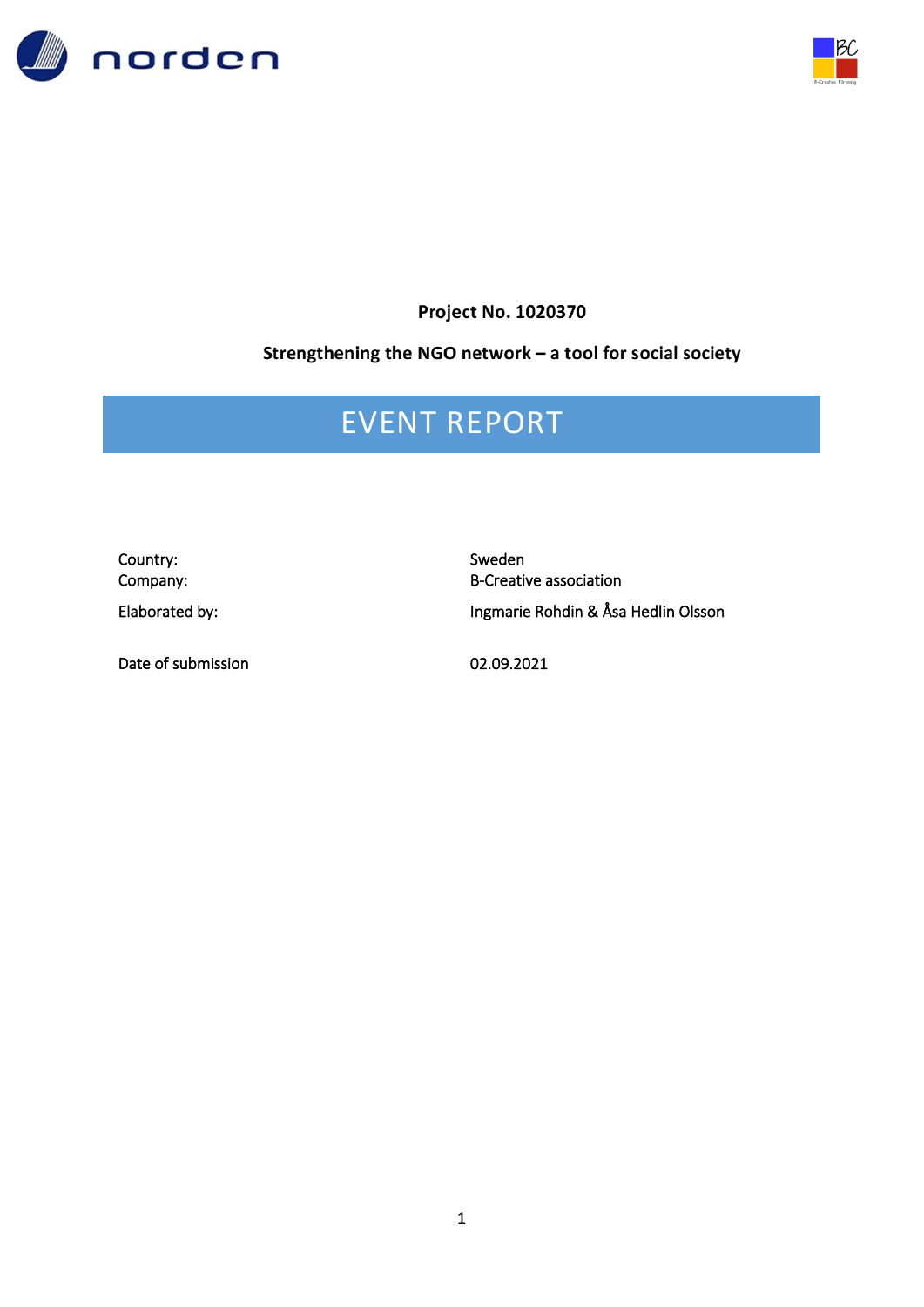



Project No. 1020370

## Strengthening the NGO network - a tool for social society

# <span id="page-0-0"></span>EVENT REPORT

Country: Sweden

Date of submission 02.09.2021

Company: B-Creative association Elaborated by: Ingmarie Rohdin & Åsa Hedlin Olsson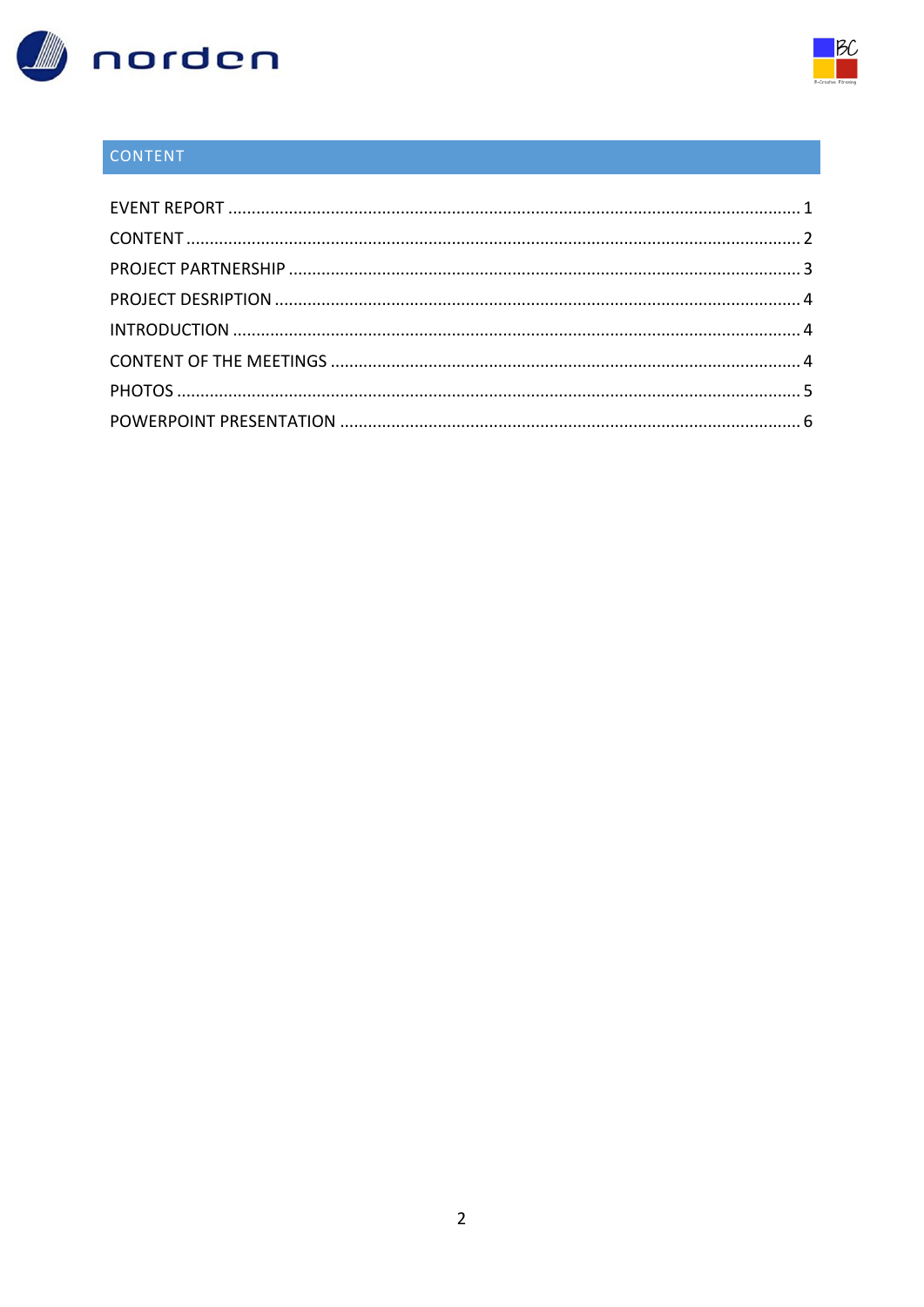



# <span id="page-1-0"></span>CONTENT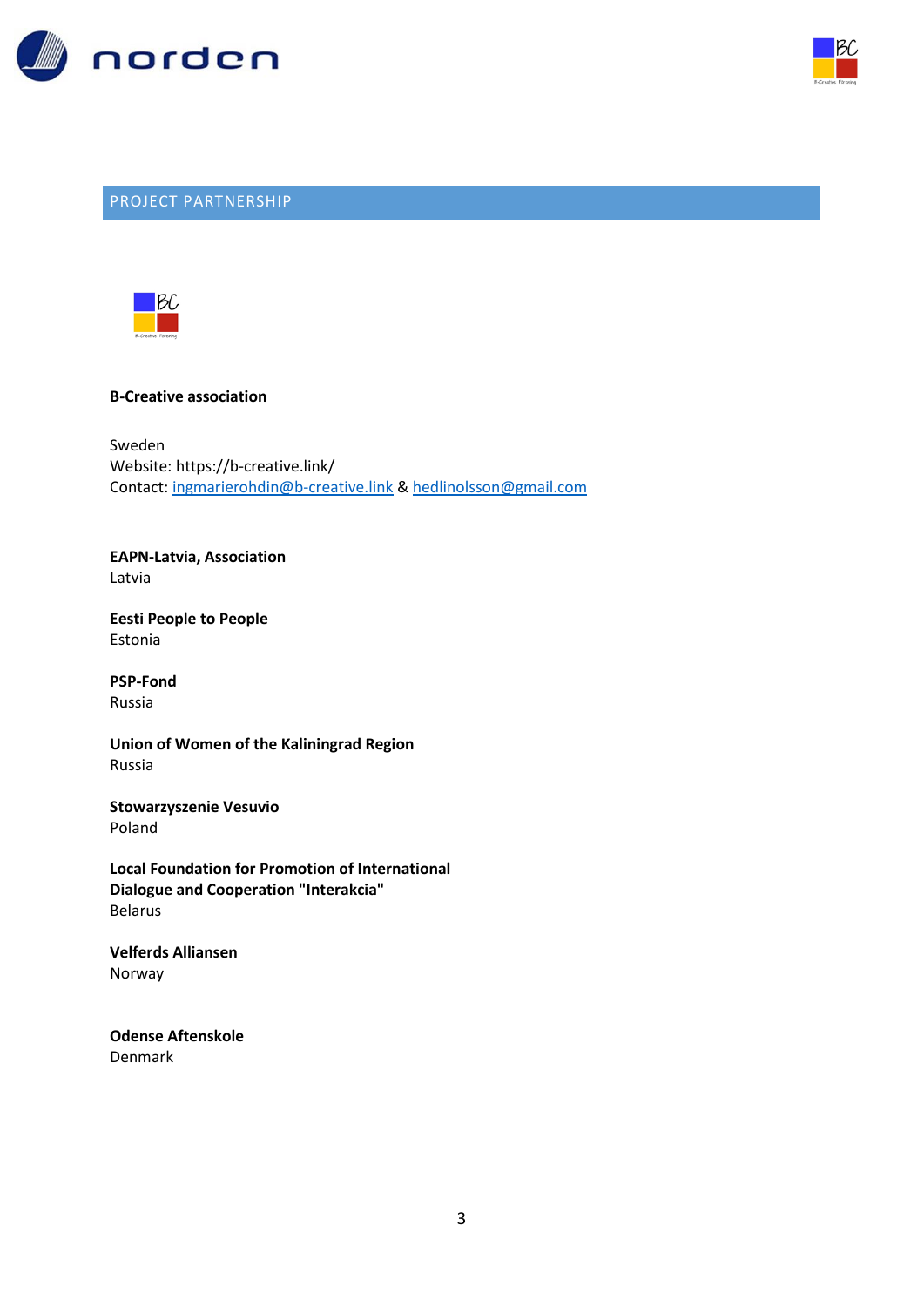



#### <span id="page-2-0"></span>PROJECT PARTNERSHIP



#### **B-Creative association**

Sweden Website: https://b-creative.link[/](http://www.folkuniversitetet.se/) Contact: [ingmarierohdin@b-creative.link](mailto:ingmarierohdin@b-creative.link) & [hedlinolsson@gmail.com](mailto:hedlinolsson@gmail.com)

**EAPN-Latvia, Association** Latvia

**Eesti People to People** Estonia

**PSP-Fond** Russia

**Union of Women of the Kaliningrad Region** Russia

**Stowarzyszenie Vesuvio** Poland

**Local Foundation for Promotion of International Dialogue and Cooperation "Interakcia"** Belarus

**Velferds Alliansen** Norway

**Odense Aftenskole** Denmark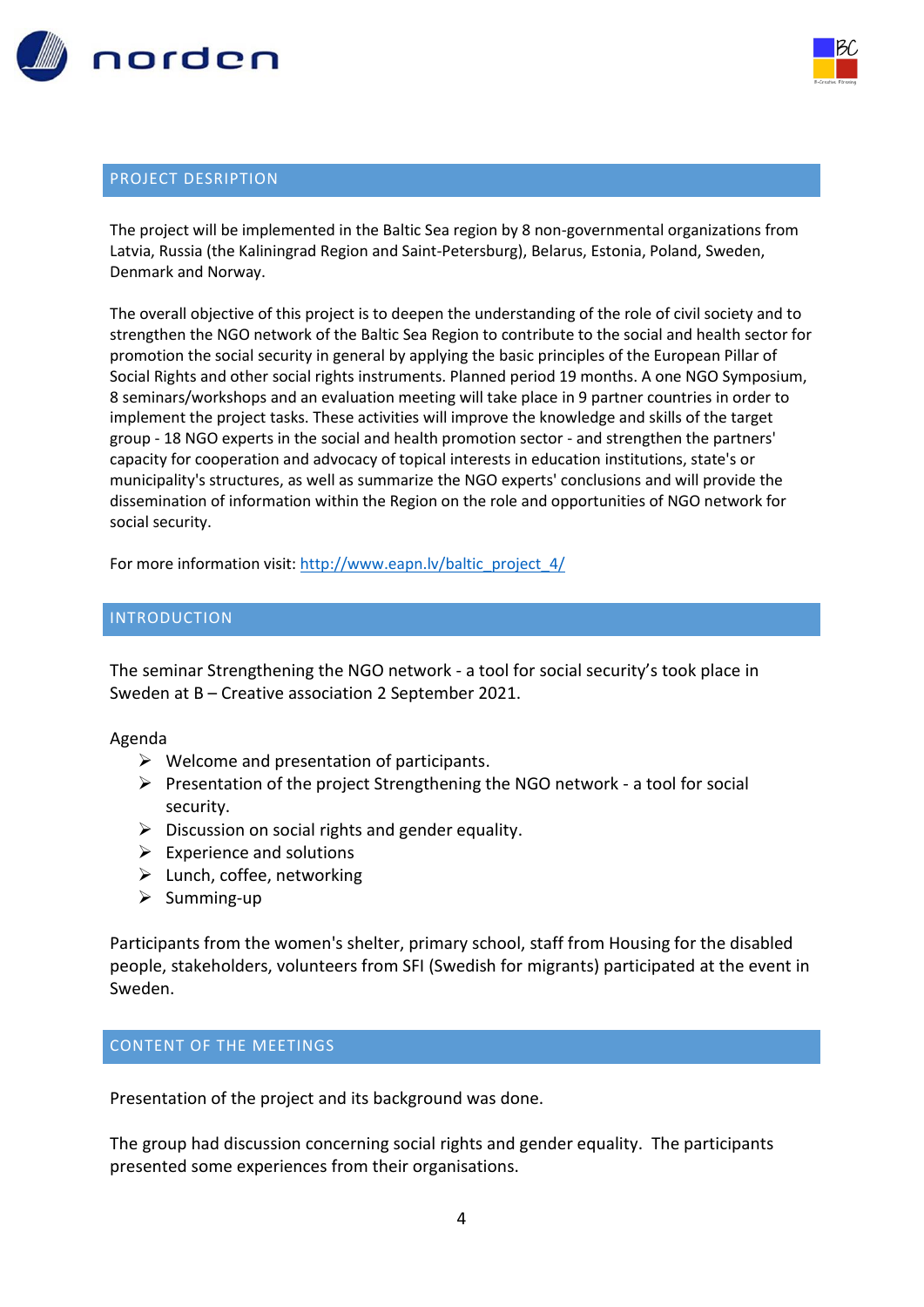



#### <span id="page-3-0"></span>PROJECT DESRIPTION

The project will be implemented in the Baltic Sea region by 8 non-governmental organizations from Latvia, Russia (the Kaliningrad Region and Saint-Petersburg), Belarus, Estonia, Poland, Sweden, Denmark and Norway.

The overall objective of this project is to deepen the understanding of the role of civil society and to strengthen the NGO network of the Baltic Sea Region to contribute to the social and health sector for promotion the social security in general by applying the basic principles of the European Pillar of Social Rights and other social rights instruments. Planned period 19 months. A one NGO Symposium, 8 seminars/workshops and an evaluation meeting will take place in 9 partner countries in order to implement the project tasks. These activities will improve the knowledge and skills of the target group - 18 NGO experts in the social and health promotion sector - and strengthen the partners' capacity for cooperation and advocacy of topical interests in education institutions, state's or municipality's structures, as well as summarize the NGO experts' conclusions and will provide the dissemination of information within the Region on the role and opportunities of NGO network for social security.

For more information visit: [http://www.eapn.lv/baltic\\_project\\_4/](http://www.eapn.lv/baltic_project_4/)

#### <span id="page-3-1"></span>INTRODUCTION

The seminar Strengthening the NGO network - a tool for social security's took place in Sweden at B – Creative association 2 September 2021.

#### Agenda

- $\triangleright$  Welcome and presentation of participants.
- $\triangleright$  Presentation of the project Strengthening the NGO network a tool for social security.
- $\triangleright$  Discussion on social rights and gender equality.
- $\triangleright$  Experience and solutions
- ➢ Lunch, coffee, networking
- ➢ Summing-up

Participants from the women's shelter, primary school, staff from Housing for the disabled people, stakeholders, volunteers from SFI (Swedish for migrants) participated at the event in Sweden.

#### <span id="page-3-2"></span>CONTENT OF THE MEETINGS

Presentation of the project and its background was done.

The group had discussion concerning social rights and gender equality. The participants presented some experiences from their organisations.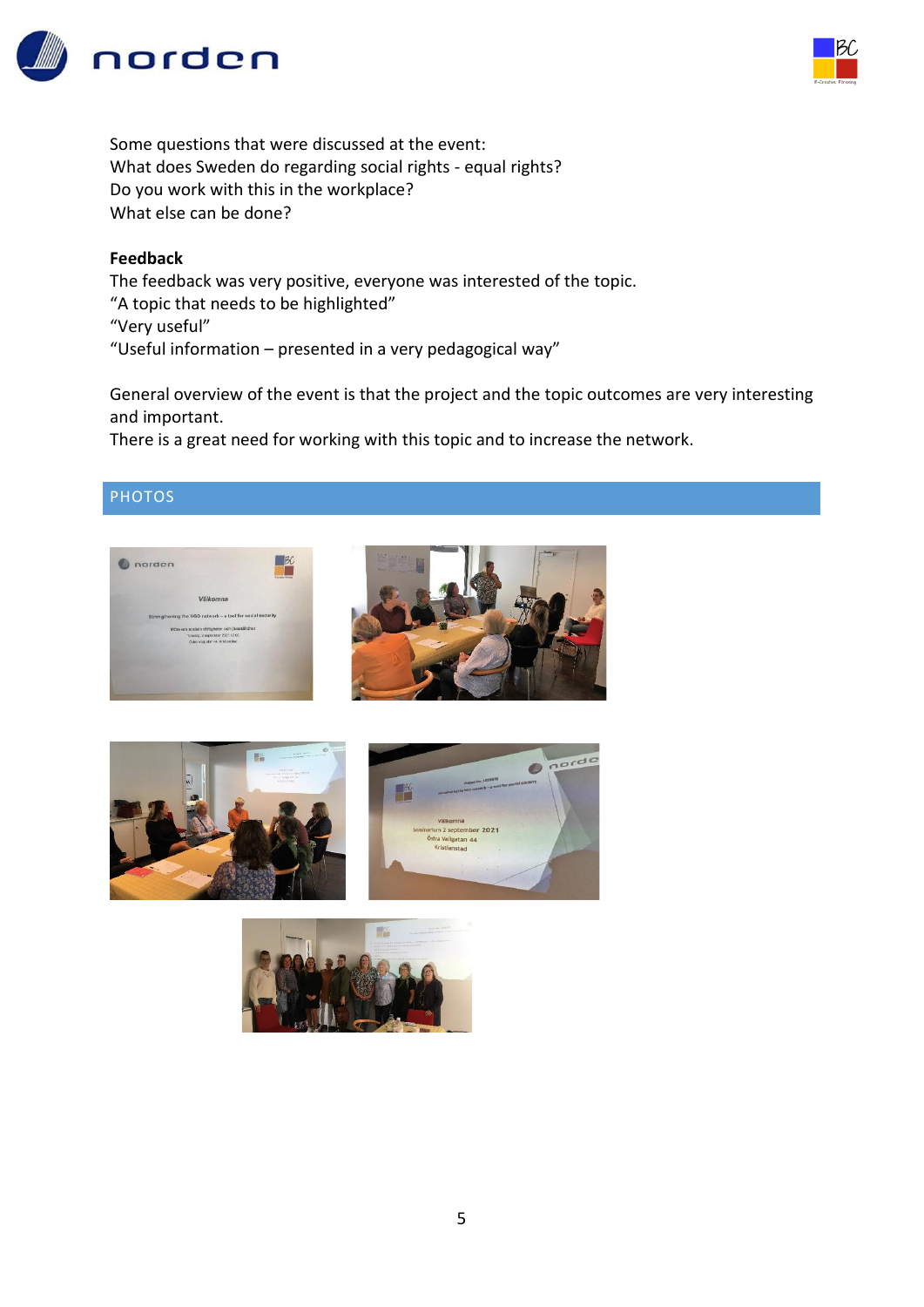



Some questions that were discussed at the event: What does Sweden do regarding social rights - equal rights? Do you work with this in the workplace? What else can be done?

#### **Feedback**

The feedback was very positive, everyone was interested of the topic. "A topic that needs to be highlighted" "Very useful" "Useful information – presented in a very pedagogical way"

General overview of the event is that the project and the topic outcomes are very interesting and important.

There is a great need for working with this topic and to increase the network.

#### <span id="page-4-0"></span>PHOTOS